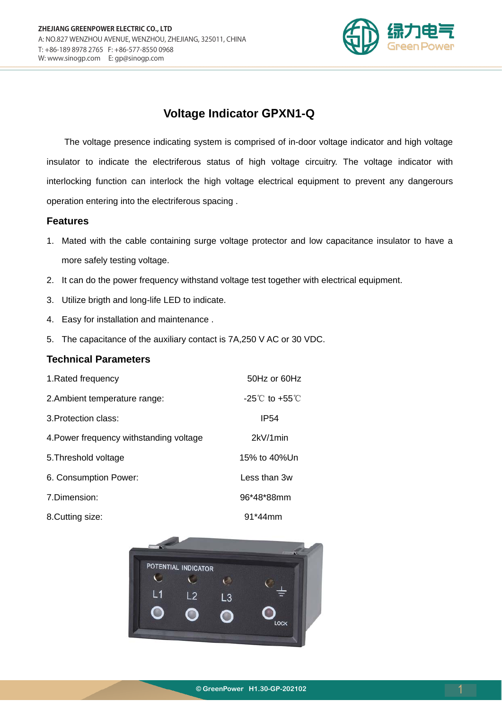

# **Voltage Indicator GPXN1-Q**

The voltage presence indicating system is comprised of in-door voltage indicator and high voltage insulator to indicate the electriferous status of high voltage circuitry. The voltage indicator with interlocking function can interlock the high voltage electrical equipment to prevent any dangerours operation entering into the electriferous spacing .

#### **Features**

- 1. Mated with the cable containing surge voltage protector and low capacitance insulator to have a more safely testing voltage.
- 2. It can do the power frequency withstand voltage test together with electrical equipment.
- 3. Utilize brigth and long-life LED to indicate.
- 4. Easy for installation and maintenance .
- 5. The capacitance of the auxiliary contact is 7A,250 V AC or 30 VDC.

#### **Technical Parameters**

| 1. Rated frequency                      | 50Hz or 60Hz                       |
|-----------------------------------------|------------------------------------|
| 2. Ambient temperature range:           | $-25^{\circ}$ C to $+55^{\circ}$ C |
| 3. Protection class:                    | <b>IP54</b>                        |
| 4. Power frequency withstanding voltage | 2kV/1min                           |
| 5. Threshold voltage                    | 15% to 40%Un                       |
| 6. Consumption Power:                   | Less than 3w                       |
| 7. Dimension:                           | 96*48*88mm                         |
| 8. Cutting size:                        | $91*44$ mm                         |

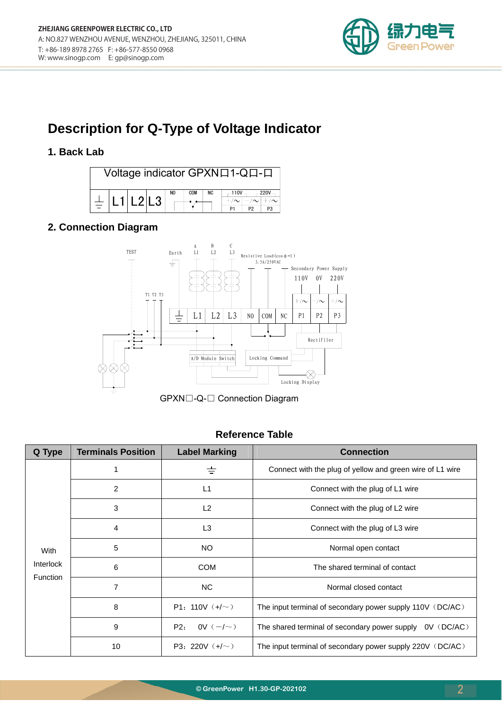

# **Description for Q-Type of Voltage Indicator**

### **1. Back Lab**



## **2. Connection Diagram**



GPXN□-Q-□ Connection Diagram

#### **Reference Table**

| Q Type                               | <b>Terminals Position</b> | <b>Label Marking</b> | <b>Connection</b>                                          |  |
|--------------------------------------|---------------------------|----------------------|------------------------------------------------------------|--|
| With<br>Interlock<br><b>Function</b> |                           | $\pm$                | Connect with the plug of yellow and green wire of L1 wire  |  |
|                                      | 2                         | L1                   | Connect with the plug of L1 wire                           |  |
|                                      | 3                         | L <sub>2</sub>       | Connect with the plug of L2 wire                           |  |
|                                      | 4                         | L <sub>3</sub>       | Connect with the plug of L3 wire                           |  |
|                                      | 5                         | NO.                  | Normal open contact                                        |  |
|                                      | 6                         | <b>COM</b>           | The shared terminal of contact                             |  |
|                                      | 7                         | NC.                  | Normal closed contact                                      |  |
|                                      | 8                         | P1: 110V $(+/-)$     | The input terminal of secondary power supply 110V (DC/AC)  |  |
|                                      | 9                         | OV $(-/-)$<br>P2:    | The shared terminal of secondary power supply $0V$ (DC/AC) |  |
|                                      | 10                        | P3: 220V $(+/-)$     | The input terminal of secondary power supply 220V (DC/AC)  |  |